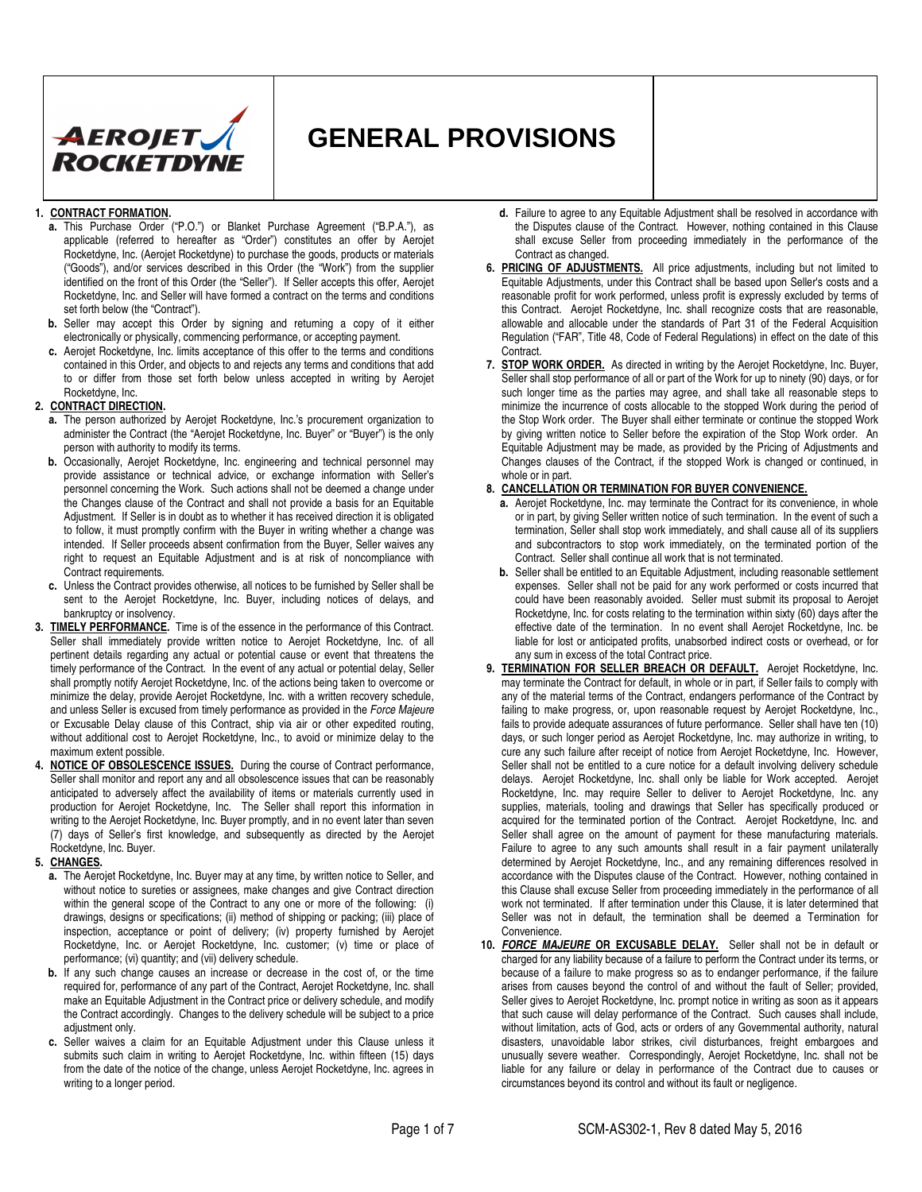

# **GENERAL PROVISIONS**

#### **1. CONTRACT FORMATION.**

- **a.** This Purchase Order ("P.O.") or Blanket Purchase Agreement ("B.P.A."), as applicable (referred to hereafter as "Order") constitutes an offer by Aerojet Rocketdyne, Inc. (Aerojet Rocketdyne) to purchase the goods, products or materials ("Goods"), and/or services described in this Order (the "Work") from the supplier identified on the front of this Order (the "Seller"). If Seller accepts this offer, Aerojet Rocketdyne, Inc. and Seller will have formed a contract on the terms and conditions set forth below (the "Contract").
- **b.** Seller may accept this Order by signing and returning a copy of it either electronically or physically, commencing performance, or accepting payment.
- **c.** Aerojet Rocketdyne, Inc. limits acceptance of this offer to the terms and conditions contained in this Order, and objects to and rejects any terms and conditions that add to or differ from those set forth below unless accepted in writing by Aerojet Rocketdyne, Inc.

#### **2. CONTRACT DIRECTION.**

- **a.** The person authorized by Aerojet Rocketdyne, Inc.'s procurement organization to administer the Contract (the "Aerojet Rocketdyne, Inc. Buyer" or "Buyer") is the only person with authority to modify its terms.
- **b.** Occasionally, Aerojet Rocketdyne, Inc. engineering and technical personnel may provide assistance or technical advice, or exchange information with Seller's personnel concerning the Work. Such actions shall not be deemed a change under the Changes clause of the Contract and shall not provide a basis for an Equitable Adjustment. If Seller is in doubt as to whether it has received direction it is obligated to follow, it must promptly confirm with the Buyer in writing whether a change was intended. If Seller proceeds absent confirmation from the Buyer, Seller waives any right to request an Equitable Adjustment and is at risk of noncompliance with Contract requirements.
- **c.** Unless the Contract provides otherwise, all notices to be furnished by Seller shall be sent to the Aerojet Rocketdyne, Inc. Buyer, including notices of delays, and bankruptcy or insolvency.
- **3. TIMELY PERFORMANCE.** Time is of the essence in the performance of this Contract. Seller shall immediately provide written notice to Aerojet Rocketdyne, Inc. of all pertinent details regarding any actual or potential cause or event that threatens the timely performance of the Contract. In the event of any actual or potential delay, Seller shall promptly notify Aerojet Rocketdyne, Inc. of the actions being taken to overcome or minimize the delay, provide Aerojet Rocketdyne, Inc. with a written recovery schedule, and unless Seller is excused from timely performance as provided in the Force Majeure or Excusable Delay clause of this Contract, ship via air or other expedited routing, without additional cost to Aerojet Rocketdyne, Inc., to avoid or minimize delay to the maximum extent possible.
- **4. NOTICE OF OBSOLESCENCE ISSUES.** During the course of Contract performance, Seller shall monitor and report any and all obsolescence issues that can be reasonably anticipated to adversely affect the availability of items or materials currently used in production for Aerojet Rocketdyne, Inc. The Seller shall report this information in writing to the Aerojet Rocketdyne, Inc. Buyer promptly, and in no event later than seven (7) days of Seller's first knowledge, and subsequently as directed by the Aerojet Rocketdyne, Inc. Buyer.

#### **5. CHANGES.**

- **a.** The Aerojet Rocketdyne, Inc. Buyer may at any time, by written notice to Seller, and without notice to sureties or assignees, make changes and give Contract direction within the general scope of the Contract to any one or more of the following: (i) drawings, designs or specifications; (ii) method of shipping or packing; (iii) place of inspection, acceptance or point of delivery; (iv) property furnished by Aerojet Rocketdyne, Inc. or Aerojet Rocketdyne, Inc. customer; (v) time or place of performance; (vi) quantity; and (vii) delivery schedule.
- **b.** If any such change causes an increase or decrease in the cost of, or the time required for, performance of any part of the Contract, Aerojet Rocketdyne, Inc. shall make an Equitable Adjustment in the Contract price or delivery schedule, and modify the Contract accordingly. Changes to the delivery schedule will be subject to a price adiustment only.
- **c.** Seller waives a claim for an Equitable Adjustment under this Clause unless it submits such claim in writing to Aerojet Rocketdyne, Inc. within fifteen (15) days from the date of the notice of the change, unless Aerojet Rocketdyne, Inc. agrees in writing to a longer period.
- **d.** Failure to agree to any Equitable Adjustment shall be resolved in accordance with the Disputes clause of the Contract. However, nothing contained in this Clause shall excuse Seller from proceeding immediately in the performance of the Contract as changed.
- **6. PRICING OF ADJUSTMENTS.** All price adjustments, including but not limited to Equitable Adjustments, under this Contract shall be based upon Seller's costs and a reasonable profit for work performed, unless profit is expressly excluded by terms of this Contract. Aerojet Rocketdyne, Inc. shall recognize costs that are reasonable, allowable and allocable under the standards of Part 31 of the Federal Acquisition Regulation ("FAR", Title 48, Code of Federal Regulations) in effect on the date of this Contract.
- **7. STOP WORK ORDER.** As directed in writing by the Aerojet Rocketdyne, Inc. Buyer, Seller shall stop performance of all or part of the Work for up to ninety (90) days, or for such longer time as the parties may agree, and shall take all reasonable steps to minimize the incurrence of costs allocable to the stopped Work during the period of the Stop Work order. The Buyer shall either terminate or continue the stopped Work by giving written notice to Seller before the expiration of the Stop Work order. An Equitable Adjustment may be made, as provided by the Pricing of Adjustments and Changes clauses of the Contract, if the stopped Work is changed or continued, in whole or in part.

#### **8. CANCELLATION OR TERMINATION FOR BUYER CONVENIENCE.**

- **a.** Aerojet Rocketdyne, Inc. may terminate the Contract for its convenience, in whole or in part, by giving Seller written notice of such termination. In the event of such a termination, Seller shall stop work immediately, and shall cause all of its suppliers and subcontractors to stop work immediately, on the terminated portion of the Contract. Seller shall continue all work that is not terminated.
- **b.** Seller shall be entitled to an Equitable Adjustment, including reasonable settlement expenses. Seller shall not be paid for any work performed or costs incurred that could have been reasonably avoided. Seller must submit its proposal to Aerojet Rocketdyne, Inc. for costs relating to the termination within sixty (60) days after the effective date of the termination. In no event shall Aerojet Rocketdyne, Inc. be liable for lost or anticipated profits, unabsorbed indirect costs or overhead, or for any sum in excess of the total Contract price.
- 9. **TERMINATION FOR SELLER BREACH OR DEFAULT.** Aerojet Rocketdyne, Inc. may terminate the Contract for default, in whole or in part, if Seller fails to comply with any of the material terms of the Contract, endangers performance of the Contract by failing to make progress, or, upon reasonable request by Aerojet Rocketdyne, Inc., fails to provide adequate assurances of future performance. Seller shall have ten (10) days, or such longer period as Aerojet Rocketdyne, Inc. may authorize in writing, to cure any such failure after receipt of notice from Aerojet Rocketdyne, Inc. However, Seller shall not be entitled to a cure notice for a default involving delivery schedule delays. Aerojet Rocketdyne, Inc. shall only be liable for Work accepted. Aerojet Rocketdyne, Inc. may require Seller to deliver to Aerojet Rocketdyne, Inc. any supplies, materials, tooling and drawings that Seller has specifically produced or acquired for the terminated portion of the Contract. Aerojet Rocketdyne, Inc. and Seller shall agree on the amount of payment for these manufacturing materials. Failure to agree to any such amounts shall result in a fair payment unilaterally determined by Aerojet Rocketdyne, Inc., and any remaining differences resolved in accordance with the Disputes clause of the Contract. However, nothing contained in this Clause shall excuse Seller from proceeding immediately in the performance of all work not terminated. If after termination under this Clause, it is later determined that Seller was not in default, the termination shall be deemed a Termination for Convenience.
- **10. FORCE MAJEURE OR EXCUSABLE DELAY.** Seller shall not be in default or charged for any liability because of a failure to perform the Contract under its terms, or because of a failure to make progress so as to endanger performance, if the failure arises from causes beyond the control of and without the fault of Seller; provided, Seller gives to Aerojet Rocketdyne, Inc. prompt notice in writing as soon as it appears that such cause will delay performance of the Contract. Such causes shall include, without limitation, acts of God, acts or orders of any Governmental authority, natural disasters, unavoidable labor strikes, civil disturbances, freight embargoes and unusually severe weather. Correspondingly, Aerojet Rocketdyne, Inc. shall not be liable for any failure or delay in performance of the Contract due to causes or circumstances beyond its control and without its fault or negligence.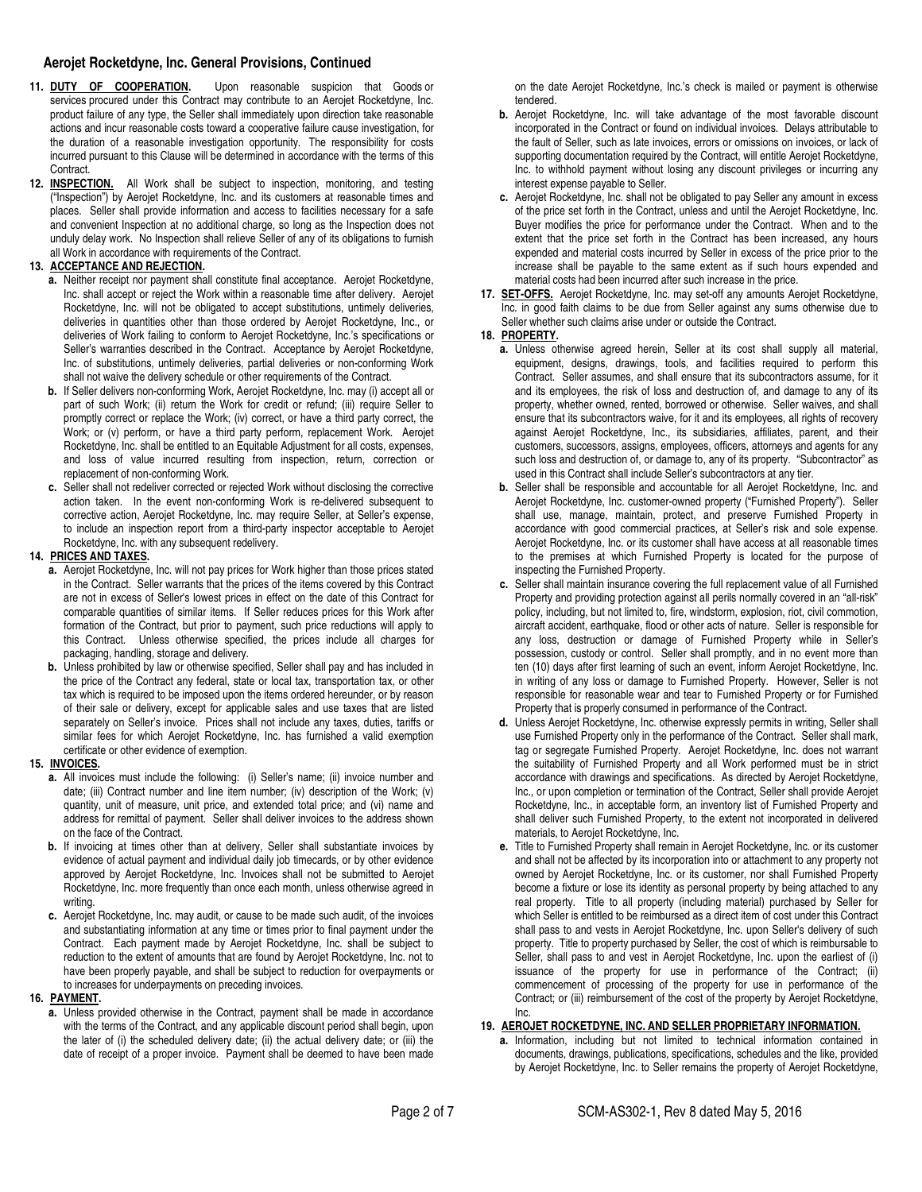- 11. **DUTY OF COOPERATION.** Upon reasonable suspicion that Goods or services procured under this Contract may contribute to an Aerojet Rocketdyne, Inc. product failure of any type, the Seller shall immediately upon direction take reasonable actions and incur reasonable costs toward a cooperative failure cause investigation, for the duration of a reasonable investigation opportunity. The responsibility for costs incurred pursuant to this Clause will be determined in accordance with the terms of this Contract.
- **12. INSPECTION.** All Work shall be subject to inspection, monitoring, and testing ("Inspection") by Aerojet Rocketdyne, Inc. and its customers at reasonable times and places. Seller shall provide information and access to facilities necessary for a safe and convenient Inspection at no additional charge, so long as the Inspection does not unduly delay work. No Inspection shall relieve Seller of any of its obligations to furnish all Work in accordance with requirements of the Contract.

# **13. ACCEPTANCE AND REJECTION.**

- **a.** Neither receipt nor payment shall constitute final acceptance. Aerojet Rocketdyne, Inc. shall accept or reject the Work within a reasonable time after delivery. Aerojet Rocketdyne, Inc. will not be obligated to accept substitutions, untimely deliveries, deliveries in quantities other than those ordered by Aerojet Rocketdyne, Inc., or deliveries of Work failing to conform to Aerojet Rocketdyne, Inc.'s specifications or Seller's warranties described in the Contract. Acceptance by Aerojet Rocketdyne, Inc. of substitutions, untimely deliveries, partial deliveries or non-conforming Work shall not waive the delivery schedule or other requirements of the Contract.
- **b.** If Seller delivers non-conforming Work, Aerojet Rocketdyne, Inc. may (i) accept all or part of such Work; (ii) return the Work for credit or refund; (iii) require Seller to promptly correct or replace the Work; (iv) correct, or have a third party correct, the Work; or (v) perform, or have a third party perform, replacement Work. Aerojet Rocketdyne, Inc. shall be entitled to an Equitable Adjustment for all costs, expenses, and loss of value incurred resulting from inspection, return, correction or replacement of non-conforming Work.
- **c.** Seller shall not redeliver corrected or rejected Work without disclosing the corrective action taken. In the event non-conforming Work is re-delivered subsequent to corrective action, Aerojet Rocketdyne, Inc. may require Seller, at Seller's expense, to include an inspection report from a third-party inspector acceptable to Aerojet Rocketdyne, Inc. with any subsequent redelivery.

# **14. PRICES AND TAXES.**

- **a.** Aerojet Rocketdyne, Inc. will not pay prices for Work higher than those prices stated in the Contract. Seller warrants that the prices of the items covered by this Contract are not in excess of Seller's lowest prices in effect on the date of this Contract for comparable quantities of similar items. If Seller reduces prices for this Work after formation of the Contract, but prior to payment, such price reductions will apply to this Contract. Unless otherwise specified, the prices include all charges for packaging, handling, storage and delivery.
- **b.** Unless prohibited by law or otherwise specified, Seller shall pay and has included in the price of the Contract any federal, state or local tax, transportation tax, or other tax which is required to be imposed upon the items ordered hereunder, or by reason of their sale or delivery, except for applicable sales and use taxes that are listed separately on Seller's invoice. Prices shall not include any taxes, duties, tariffs or similar fees for which Aerojet Rocketdyne, Inc. has furnished a valid exemption certificate or other evidence of exemption.

# **15. INVOICES.**

- **a.** All invoices must include the following: (i) Seller's name; (ii) invoice number and date; (iii) Contract number and line item number; (iv) description of the Work; (v) quantity, unit of measure, unit price, and extended total price; and (vi) name and address for remittal of payment. Seller shall deliver invoices to the address shown on the face of the Contract.
- **b.** If invoicing at times other than at delivery, Seller shall substantiate invoices by evidence of actual payment and individual daily job timecards, or by other evidence approved by Aerojet Rocketdyne, Inc. Invoices shall not be submitted to Aerojet Rocketdyne, Inc. more frequently than once each month, unless otherwise agreed in writing.
- **c.** Aerojet Rocketdyne, Inc. may audit, or cause to be made such audit, of the invoices and substantiating information at any time or times prior to final payment under the Contract. Each payment made by Aerojet Rocketdyne, Inc. shall be subject to reduction to the extent of amounts that are found by Aerojet Rocketdyne, Inc. not to have been properly payable, and shall be subject to reduction for overpayments or to increases for underpayments on preceding invoices.

# **16. PAYMENT.**

**a.** Unless provided otherwise in the Contract, payment shall be made in accordance with the terms of the Contract, and any applicable discount period shall begin, upon the later of (i) the scheduled delivery date; (ii) the actual delivery date; or (iii) the date of receipt of a proper invoice. Payment shall be deemed to have been made on the date Aerojet Rocketdyne, Inc.'s check is mailed or payment is otherwise tendered.

- **b.** Aerojet Rocketdyne, Inc. will take advantage of the most favorable discount incorporated in the Contract or found on individual invoices. Delays attributable to the fault of Seller, such as late invoices, errors or omissions on invoices, or lack of supporting documentation required by the Contract, will entitle Aerojet Rocketdyne, Inc. to withhold payment without losing any discount privileges or incurring any interest expense payable to Seller.
- **c.** Aerojet Rocketdyne, Inc. shall not be obligated to pay Seller any amount in excess of the price set forth in the Contract, unless and until the Aerojet Rocketdyne, Inc. Buyer modifies the price for performance under the Contract. When and to the extent that the price set forth in the Contract has been increased, any hours expended and material costs incurred by Seller in excess of the price prior to the increase shall be payable to the same extent as if such hours expended and material costs had been incurred after such increase in the price.
- **17. SET-OFFS.** Aerojet Rocketdyne, Inc. may set-off any amounts Aerojet Rocketdyne, Inc. in good faith claims to be due from Seller against any sums otherwise due to Seller whether such claims arise under or outside the Contract.

# **18. PROPERTY.**

- **a.** Unless otherwise agreed herein, Seller at its cost shall supply all material, equipment, designs, drawings, tools, and facilities required to perform this Contract. Seller assumes, and shall ensure that its subcontractors assume, for it and its employees, the risk of loss and destruction of, and damage to any of its property, whether owned, rented, borrowed or otherwise. Seller waives, and shall ensure that its subcontractors waive, for it and its employees, all rights of recovery against Aerojet Rocketdyne, Inc., its subsidiaries, affiliates, parent, and their customers, successors, assigns, employees, officers, attorneys and agents for any such loss and destruction of, or damage to, any of its property. "Subcontractor" as used in this Contract shall include Seller's subcontractors at any tier.
- **b.** Seller shall be responsible and accountable for all Aerojet Rocketdyne, Inc. and Aerojet Rocketdyne, Inc. customer-owned property ("Furnished Property"). Seller shall use, manage, maintain, protect, and preserve Furnished Property in accordance with good commercial practices, at Seller's risk and sole expense. Aerojet Rocketdyne, Inc. or its customer shall have access at all reasonable times to the premises at which Furnished Property is located for the purpose of inspecting the Furnished Property.
- **c.** Seller shall maintain insurance covering the full replacement value of all Furnished Property and providing protection against all perils normally covered in an "all-risk" policy, including, but not limited to, fire, windstorm, explosion, riot, civil commotion, aircraft accident, earthquake, flood or other acts of nature. Seller is responsible for any loss, destruction or damage of Furnished Property while in Seller's possession, custody or control. Seller shall promptly, and in no event more than ten (10) days after first learning of such an event, inform Aerojet Rocketdyne, Inc. in writing of any loss or damage to Furnished Property. However, Seller is not responsible for reasonable wear and tear to Furnished Property or for Furnished Property that is properly consumed in performance of the Contract.
- **d.** Unless Aerojet Rocketdyne, Inc. otherwise expressly permits in writing, Seller shall use Furnished Property only in the performance of the Contract. Seller shall mark, tag or segregate Furnished Property. Aerojet Rocketdyne, Inc. does not warrant the suitability of Furnished Property and all Work performed must be in strict accordance with drawings and specifications. As directed by Aerojet Rocketdyne, Inc., or upon completion or termination of the Contract, Seller shall provide Aerojet Rocketdyne, Inc., in acceptable form, an inventory list of Furnished Property and shall deliver such Furnished Property, to the extent not incorporated in delivered materials, to Aerojet Rocketdyne, Inc.
- **e.** Title to Furnished Property shall remain in Aerojet Rocketdyne, Inc. or its customer and shall not be affected by its incorporation into or attachment to any property not owned by Aerojet Rocketdyne, Inc. or its customer, nor shall Furnished Property become a fixture or lose its identity as personal property by being attached to any real property. Title to all property (including material) purchased by Seller for which Seller is entitled to be reimbursed as a direct item of cost under this Contract shall pass to and vests in Aerojet Rocketdyne, Inc. upon Seller's delivery of such property. Title to property purchased by Seller, the cost of which is reimbursable to Seller, shall pass to and vest in Aerojet Rocketdyne, Inc. upon the earliest of (i) issuance of the property for use in performance of the Contract; (ii) commencement of processing of the property for use in performance of the Contract; or (iii) reimbursement of the cost of the property by Aerojet Rocketdyne, Inc.

# **19. AEROJET ROCKETDYNE, INC. AND SELLER PROPRIETARY INFORMATION.**

**a.** Information, including but not limited to technical information contained in documents, drawings, publications, specifications, schedules and the like, provided by Aerojet Rocketdyne, Inc. to Seller remains the property of Aerojet Rocketdyne,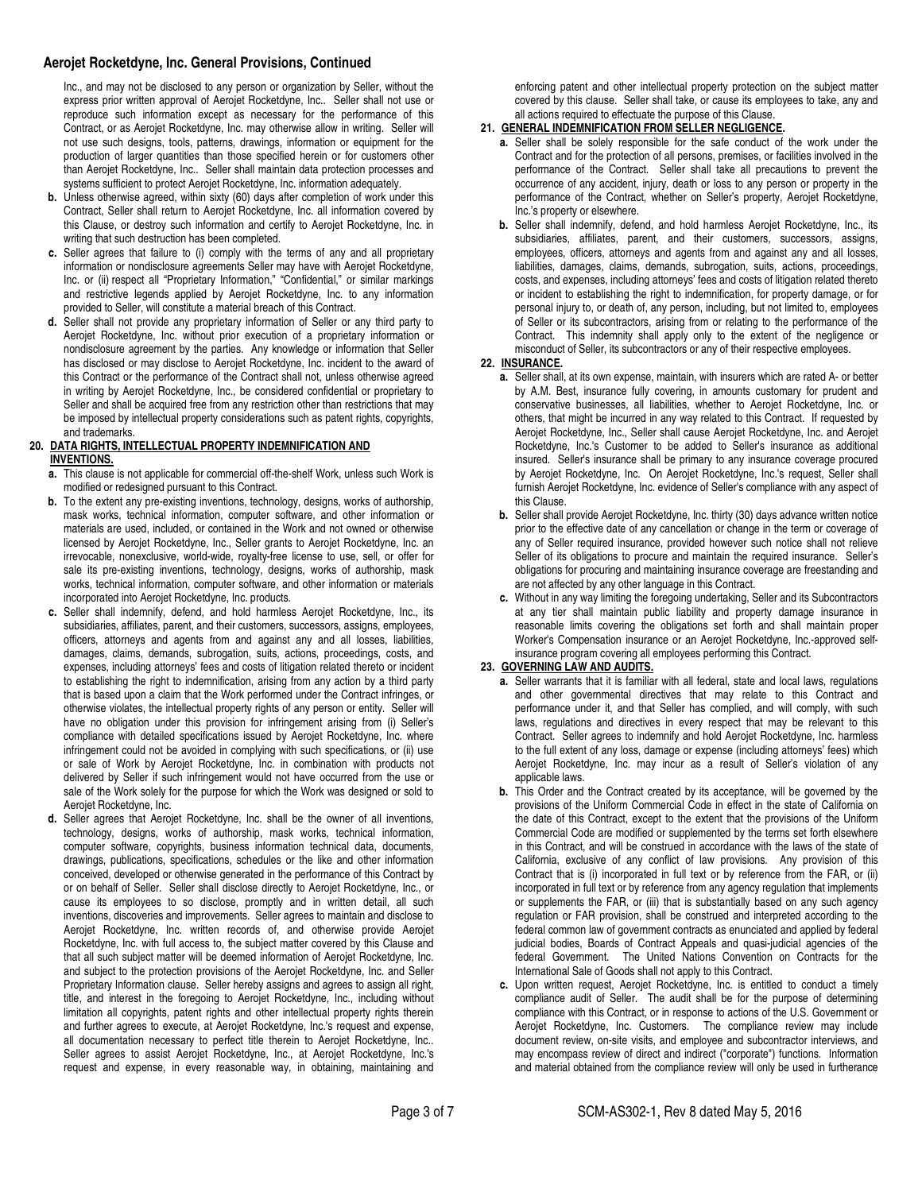Inc., and may not be disclosed to any person or organization by Seller, without the express prior written approval of Aerojet Rocketdyne, Inc.. Seller shall not use or reproduce such information except as necessary for the performance of this Contract, or as Aerojet Rocketdyne, Inc. may otherwise allow in writing. Seller will not use such designs, tools, patterns, drawings, information or equipment for the production of larger quantities than those specified herein or for customers other than Aerojet Rocketdyne, Inc.. Seller shall maintain data protection processes and systems sufficient to protect Aerojet Rocketdyne, Inc. information adequately.

- **b.** Unless otherwise agreed, within sixty (60) days after completion of work under this Contract, Seller shall return to Aerojet Rocketdyne, Inc. all information covered by this Clause, or destroy such information and certify to Aerojet Rocketdyne, Inc. in writing that such destruction has been completed.
- **c.** Seller agrees that failure to (i) comply with the terms of any and all proprietary information or nondisclosure agreements Seller may have with Aerojet Rocketdyne, Inc. or (ii) respect all "Proprietary Information," "Confidential," or similar markings and restrictive legends applied by Aerojet Rocketdyne, Inc. to any information provided to Seller, will constitute a material breach of this Contract.
- **d.** Seller shall not provide any proprietary information of Seller or any third party to Aerojet Rocketdyne, Inc. without prior execution of a proprietary information or nondisclosure agreement by the parties. Any knowledge or information that Seller has disclosed or may disclose to Aerojet Rocketdyne, Inc. incident to the award of this Contract or the performance of the Contract shall not, unless otherwise agreed in writing by Aerojet Rocketdyne, Inc., be considered confidential or proprietary to Seller and shall be acquired free from any restriction other than restrictions that may be imposed by intellectual property considerations such as patent rights, copyrights, and trademarks.

#### **20. DATA RIGHTS, INTELLECTUAL PROPERTY INDEMNIFICATION AND INVENTIONS.**

- **a.** This clause is not applicable for commercial off-the-shelf Work, unless such Work is modified or redesigned pursuant to this Contract.
- **b.** To the extent any pre-existing inventions, technology, designs, works of authorship, mask works, technical information, computer software, and other information or materials are used, included, or contained in the Work and not owned or otherwise licensed by Aerojet Rocketdyne, Inc., Seller grants to Aerojet Rocketdyne, Inc. an irrevocable, nonexclusive, world-wide, royalty-free license to use, sell, or offer for sale its pre-existing inventions, technology, designs, works of authorship, mask works, technical information, computer software, and other information or materials incorporated into Aerojet Rocketdyne, Inc. products.
- **c.** Seller shall indemnify, defend, and hold harmless Aerojet Rocketdyne, Inc., its subsidiaries, affiliates, parent, and their customers, successors, assigns, employees, officers, attorneys and agents from and against any and all losses, liabilities, damages, claims, demands, subrogation, suits, actions, proceedings, costs, and expenses, including attorneys' fees and costs of litigation related thereto or incident to establishing the right to indemnification, arising from any action by a third party that is based upon a claim that the Work performed under the Contract infringes, or otherwise violates, the intellectual property rights of any person or entity. Seller will have no obligation under this provision for infringement arising from (i) Seller's compliance with detailed specifications issued by Aerojet Rocketdyne, Inc. where infringement could not be avoided in complying with such specifications, or (ii) use or sale of Work by Aerojet Rocketdyne, Inc. in combination with products not delivered by Seller if such infringement would not have occurred from the use or sale of the Work solely for the purpose for which the Work was designed or sold to Aerojet Rocketdyne, Inc.
- **d.** Seller agrees that Aerojet Rocketdyne, Inc. shall be the owner of all inventions, technology, designs, works of authorship, mask works, technical information, computer software, copyrights, business information technical data, documents, drawings, publications, specifications, schedules or the like and other information conceived, developed or otherwise generated in the performance of this Contract by or on behalf of Seller. Seller shall disclose directly to Aerojet Rocketdyne, Inc., or cause its employees to so disclose, promptly and in written detail, all such inventions, discoveries and improvements. Seller agrees to maintain and disclose to Aerojet Rocketdyne, Inc. written records of, and otherwise provide Aerojet Rocketdyne, Inc. with full access to, the subject matter covered by this Clause and that all such subject matter will be deemed information of Aerojet Rocketdyne, Inc. and subject to the protection provisions of the Aerojet Rocketdyne, Inc. and Seller Proprietary Information clause. Seller hereby assigns and agrees to assign all right, title, and interest in the foregoing to Aerojet Rocketdyne, Inc., including without limitation all copyrights, patent rights and other intellectual property rights therein and further agrees to execute, at Aerojet Rocketdyne, Inc.'s request and expense, all documentation necessary to perfect title therein to Aerojet Rocketdyne, Inc.. Seller agrees to assist Aerojet Rocketdyne, Inc., at Aerojet Rocketdyne, Inc.'s request and expense, in every reasonable way, in obtaining, maintaining and

enforcing patent and other intellectual property protection on the subject matter covered by this clause. Seller shall take, or cause its employees to take, any and all actions required to effectuate the purpose of this Clause.

# **21. GENERAL INDEMNIFICATION FROM SELLER NEGLIGENCE.**

- **a.** Seller shall be solely responsible for the safe conduct of the work under the Contract and for the protection of all persons, premises, or facilities involved in the performance of the Contract. Seller shall take all precautions to prevent the occurrence of any accident, injury, death or loss to any person or property in the performance of the Contract, whether on Seller's property, Aerojet Rocketdyne, Inc.'s property or elsewhere.
- **b.** Seller shall indemnify, defend, and hold harmless Aerojet Rocketdyne, Inc., its subsidiaries, affiliates, parent, and their customers, successors, assigns, employees, officers, attorneys and agents from and against any and all losses, liabilities, damages, claims, demands, subrogation, suits, actions, proceedings, costs, and expenses, including attorneys' fees and costs of litigation related thereto or incident to establishing the right to indemnification, for property damage, or for personal injury to, or death of, any person, including, but not limited to, employees of Seller or its subcontractors, arising from or relating to the performance of the Contract. This indemnity shall apply only to the extent of the negligence or misconduct of Seller, its subcontractors or any of their respective employees.

#### **22. INSURANCE.**

- **a.** Seller shall, at its own expense, maintain, with insurers which are rated A- or better by A.M. Best, insurance fully covering, in amounts customary for prudent and conservative businesses, all liabilities, whether to Aerojet Rocketdyne, Inc. or others, that might be incurred in any way related to this Contract. If requested by Aerojet Rocketdyne, Inc., Seller shall cause Aerojet Rocketdyne, Inc. and Aerojet Rocketdyne, Inc.'s Customer to be added to Seller's insurance as additional insured. Seller's insurance shall be primary to any insurance coverage procured by Aerojet Rocketdyne, Inc. On Aerojet Rocketdyne, Inc.'s request, Seller shall furnish Aerojet Rocketdyne, Inc. evidence of Seller's compliance with any aspect of this Clause.
- **b.** Seller shall provide Aerojet Rocketdyne, Inc. thirty (30) days advance written notice prior to the effective date of any cancellation or change in the term or coverage of any of Seller required insurance, provided however such notice shall not relieve Seller of its obligations to procure and maintain the required insurance. Seller's obligations for procuring and maintaining insurance coverage are freestanding and are not affected by any other language in this Contract.
- **c.** Without in any way limiting the foregoing undertaking, Seller and its Subcontractors at any tier shall maintain public liability and property damage insurance in reasonable limits covering the obligations set forth and shall maintain proper Worker's Compensation insurance or an Aerojet Rocketdyne, Inc.-approved selfinsurance program covering all employees performing this Contract.

#### **23. GOVERNING LAW AND AUDITS.**

- **a.** Seller warrants that it is familiar with all federal, state and local laws, regulations and other governmental directives that may relate to this Contract and performance under it, and that Seller has complied, and will comply, with such laws, regulations and directives in every respect that may be relevant to this Contract. Seller agrees to indemnify and hold Aerojet Rocketdyne, Inc. harmless to the full extent of any loss, damage or expense (including attorneys' fees) which Aerojet Rocketdyne, Inc. may incur as a result of Seller's violation of any applicable laws.
- **b.** This Order and the Contract created by its acceptance, will be governed by the provisions of the Uniform Commercial Code in effect in the state of California on .<br>the date of this Contract, except to the extent that the provisions of the Uniform Commercial Code are modified or supplemented by the terms set forth elsewhere in this Contract, and will be construed in accordance with the laws of the state of California, exclusive of any conflict of law provisions. Any provision of this Contract that is (i) incorporated in full text or by reference from the FAR, or (ii) incorporated in full text or by reference from any agency regulation that implements or supplements the FAR, or (iii) that is substantially based on any such agency regulation or FAR provision, shall be construed and interpreted according to the federal common law of government contracts as enunciated and applied by federal judicial bodies, Boards of Contract Appeals and quasi-judicial agencies of the federal Government. The United Nations Convention on Contracts for the International Sale of Goods shall not apply to this Contract.
- **c.** Upon written request, Aerojet Rocketdyne, Inc. is entitled to conduct a timely compliance audit of Seller. The audit shall be for the purpose of determining compliance with this Contract, or in response to actions of the U.S. Government or Aerojet Rocketdyne, Inc. Customers. The compliance review may include document review, on-site visits, and employee and subcontractor interviews, and may encompass review of direct and indirect ("corporate") functions. Information and material obtained from the compliance review will only be used in furtherance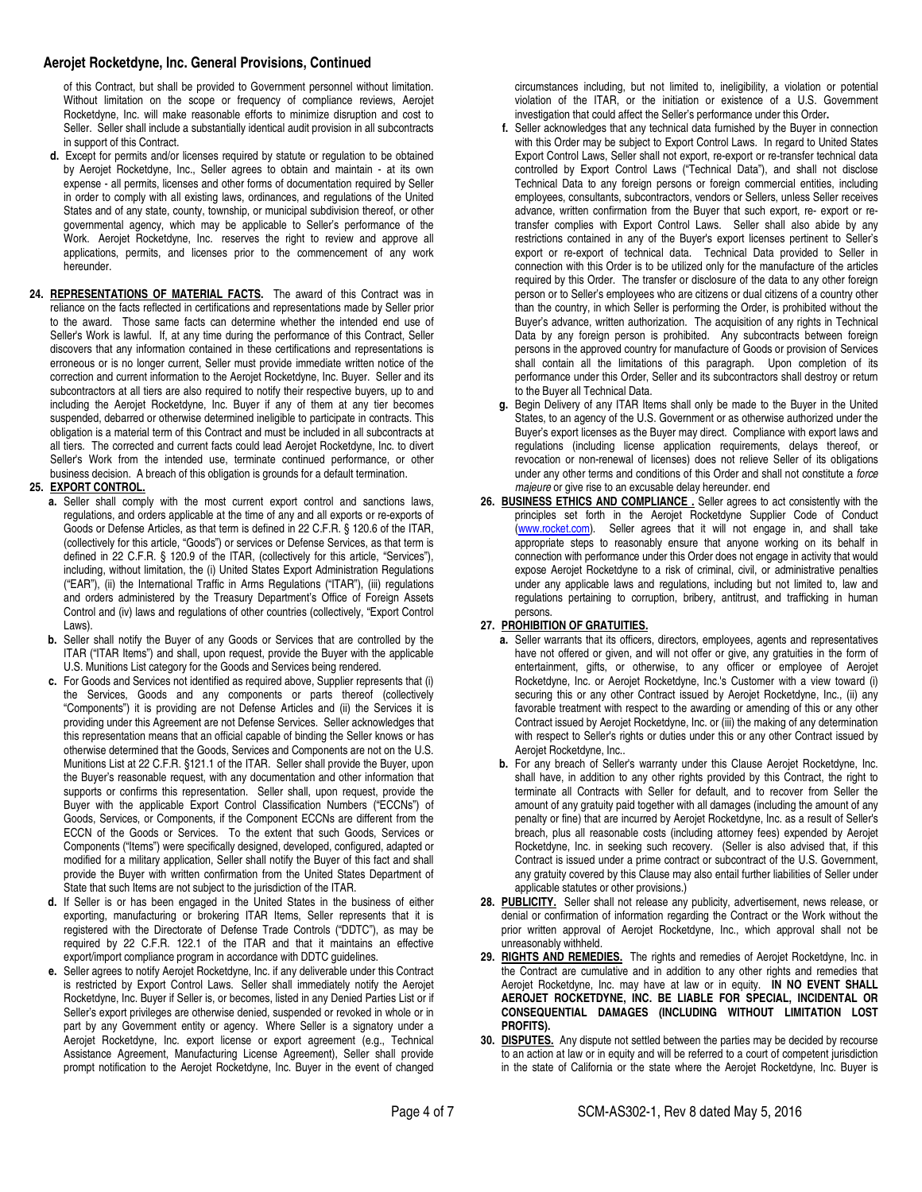of this Contract, but shall be provided to Government personnel without limitation. Without limitation on the scope or frequency of compliance reviews, Aerojet Rocketdyne, Inc. will make reasonable efforts to minimize disruption and cost to Seller. Seller shall include a substantially identical audit provision in all subcontracts in support of this Contract.

- **d.** Except for permits and/or licenses required by statute or regulation to be obtained by Aerojet Rocketdyne, Inc., Seller agrees to obtain and maintain - at its own expense - all permits, licenses and other forms of documentation required by Seller in order to comply with all existing laws, ordinances, and regulations of the United States and of any state, county, township, or municipal subdivision thereof, or other governmental agency, which may be applicable to Seller's performance of the Work. Aerojet Rocketdyne, Inc. reserves the right to review and approve all applications, permits, and licenses prior to the commencement of any work hereunder.
- **24. REPRESENTATIONS OF MATERIAL FACTS.** The award of this Contract was in reliance on the facts reflected in certifications and representations made by Seller prior to the award. Those same facts can determine whether the intended end use of Seller's Work is lawful. If, at any time during the performance of this Contract, Seller discovers that any information contained in these certifications and representations is erroneous or is no longer current, Seller must provide immediate written notice of the correction and current information to the Aerojet Rocketdyne, Inc. Buyer. Seller and its subcontractors at all tiers are also required to notify their respective buyers, up to and including the Aerojet Rocketdyne, Inc. Buyer if any of them at any tier becomes suspended, debarred or otherwise determined ineligible to participate in contracts. This obligation is a material term of this Contract and must be included in all subcontracts at all tiers. The corrected and current facts could lead Aerojet Rocketdyne, Inc. to divert Seller's Work from the intended use, terminate continued performance, or other business decision. A breach of this obligation is grounds for a default termination.

# **25. EXPORT CONTROL.**

- **a.** Seller shall comply with the most current export control and sanctions laws, regulations, and orders applicable at the time of any and all exports or re-exports of Goods or Defense Articles, as that term is defined in 22 C.F.R. § 120.6 of the ITAR, (collectively for this article, "Goods") or services or Defense Services, as that term is defined in 22 C.F.R. § 120.9 of the ITAR, (collectively for this article, "Services"), including, without limitation, the (i) United States Export Administration Regulations ("EAR"), (ii) the International Traffic in Arms Regulations ("ITAR"), (iii) regulations and orders administered by the Treasury Department's Office of Foreign Assets Control and (iv) laws and regulations of other countries (collectively, "Export Control Laws).
- **b.** Seller shall notify the Buyer of any Goods or Services that are controlled by the ITAR ("ITAR Items") and shall, upon request, provide the Buyer with the applicable U.S. Munitions List category for the Goods and Services being rendered.
- **c.** For Goods and Services not identified as required above, Supplier represents that (i) the Services, Goods and any components or parts thereof (collectively "Components") it is providing are not Defense Articles and (ii) the Services it is providing under this Agreement are not Defense Services. Seller acknowledges that this representation means that an official capable of binding the Seller knows or has otherwise determined that the Goods, Services and Components are not on the U.S. Munitions List at 22 C.F.R. §121.1 of the ITAR. Seller shall provide the Buyer, upon the Buyer's reasonable request, with any documentation and other information that supports or confirms this representation. Seller shall, upon request, provide the Buyer with the applicable Export Control Classification Numbers ("ECCNs") of Goods, Services, or Components, if the Component ECCNs are different from the ECCN of the Goods or Services. To the extent that such Goods, Services or Components ("Items") were specifically designed, developed, configured, adapted or modified for a military application, Seller shall notify the Buyer of this fact and shall provide the Buyer with written confirmation from the United States Department of State that such Items are not subject to the jurisdiction of the ITAR.
- **d.** If Seller is or has been engaged in the United States in the business of either exporting, manufacturing or brokering ITAR Items, Seller represents that it is registered with the Directorate of Defense Trade Controls ("DDTC"), as may be required by 22 C.F.R. 122.1 of the ITAR and that it maintains an effective export/import compliance program in accordance with DDTC guidelines.
- **e.** Seller agrees to notify Aerojet Rocketdyne, Inc. if any deliverable under this Contract is restricted by Export Control Laws. Seller shall immediately notify the Aerojet Rocketdyne, Inc. Buyer if Seller is, or becomes, listed in any Denied Parties List or if Seller's export privileges are otherwise denied, suspended or revoked in whole or in part by any Government entity or agency. Where Seller is a signatory under a Aerojet Rocketdyne, Inc. export license or export agreement (e.g., Technical Assistance Agreement, Manufacturing License Agreement), Seller shall provide prompt notification to the Aerojet Rocketdyne, Inc. Buyer in the event of changed

circumstances including, but not limited to, ineligibility, a violation or potential violation of the ITAR, or the initiation or existence of a U.S. Government investigation that could affect the Seller's performance under this Order**.** 

- **f.** Seller acknowledges that any technical data furnished by the Buyer in connection with this Order may be subject to Export Control Laws. In regard to United States Export Control Laws, Seller shall not export, re-export or re-transfer technical data controlled by Export Control Laws ("Technical Data"), and shall not disclose Technical Data to any foreign persons or foreign commercial entities, including employees, consultants, subcontractors, vendors or Sellers, unless Seller receives advance, written confirmation from the Buyer that such export, re- export or retransfer complies with Export Control Laws. Seller shall also abide by any restrictions contained in any of the Buyer's export licenses pertinent to Seller's export or re-export of technical data. Technical Data provided to Seller in connection with this Order is to be utilized only for the manufacture of the articles required by this Order. The transfer or disclosure of the data to any other foreign person or to Seller's employees who are citizens or dual citizens of a country other than the country, in which Seller is performing the Order, is prohibited without the Buyer's advance, written authorization. The acquisition of any rights in Technical Data by any foreign person is prohibited. Any subcontracts between foreign persons in the approved country for manufacture of Goods or provision of Services shall contain all the limitations of this paragraph. Upon completion of its performance under this Order, Seller and its subcontractors shall destroy or return to the Buyer all Technical Data.
- **g.** Begin Delivery of any ITAR Items shall only be made to the Buyer in the United States, to an agency of the U.S. Government or as otherwise authorized under the Buyer's export licenses as the Buyer may direct. Compliance with export laws and regulations (including license application requirements, delays thereof, or revocation or non-renewal of licenses) does not relieve Seller of its obligations under any other terms and conditions of this Order and shall not constitute a force majeure or give rise to an excusable delay hereunder. end
- **26. BUSINESS ETHICS AND COMPLIANCE .** Seller agrees to act consistently with the principles set forth in the Aerojet Rocketdyne Supplier Code of Conduct [\(www.rocket.c](http://www.rocket.com/)om). Seller agrees that it will not engage in, and shall take appropriate steps to reasonably ensure that anyone working on its behalf in connection with performance under this Order does not engage in activity that would expose Aerojet Rocketdyne to a risk of criminal, civil, or administrative penalties under any applicable laws and regulations, including but not limited to, law and regulations pertaining to corruption, bribery, antitrust, and trafficking in human persons.

# **27. PROHIBITION OF GRATUITIES.**

- **a.** Seller warrants that its officers, directors, employees, agents and representatives have not offered or given, and will not offer or give, any gratuities in the form of entertainment, gifts, or otherwise, to any officer or employee of Aerojet Rocketdyne, Inc. or Aerojet Rocketdyne, Inc.'s Customer with a view toward (i) securing this or any other Contract issued by Aerojet Rocketdyne, Inc., (ii) any favorable treatment with respect to the awarding or amending of this or any other Contract issued by Aerojet Rocketdyne, Inc. or (iii) the making of any determination with respect to Seller's rights or duties under this or any other Contract issued by Aerojet Rocketdyne, Inc..
- **b.** For any breach of Seller's warranty under this Clause Aerojet Rocketdyne, Inc. shall have, in addition to any other rights provided by this Contract, the right to terminate all Contracts with Seller for default, and to recover from Seller the amount of any gratuity paid together with all damages (including the amount of any penalty or fine) that are incurred by Aerojet Rocketdyne, Inc. as a result of Seller's breach, plus all reasonable costs (including attorney fees) expended by Aerojet Rocketdyne, Inc. in seeking such recovery. (Seller is also advised that, if this Contract is issued under a prime contract or subcontract of the U.S. Government, any gratuity covered by this Clause may also entail further liabilities of Seller under applicable statutes or other provisions.)
- **28. PUBLICITY.** Seller shall not release any publicity, advertisement, news release, or denial or confirmation of information regarding the Contract or the Work without the prior written approval of Aerojet Rocketdyne, Inc., which approval shall not be unreasonably withheld.
- **29. RIGHTS AND REMEDIES.** The rights and remedies of Aerojet Rocketdyne, Inc. in the Contract are cumulative and in addition to any other rights and remedies that Aerojet Rocketdyne, Inc. may have at law or in equity. **IN NO EVENT SHALL AEROJET ROCKETDYNE, INC. BE LIABLE FOR SPECIAL, INCIDENTAL OR CONSEQUENTIAL DAMAGES (INCLUDING WITHOUT LIMITATION LOST PROFITS).**
- **30. DISPUTES.** Any dispute not settled between the parties may be decided by recourse to an action at law or in equity and will be referred to a court of competent jurisdiction in the state of California or the state where the Aerojet Rocketdyne, Inc. Buyer is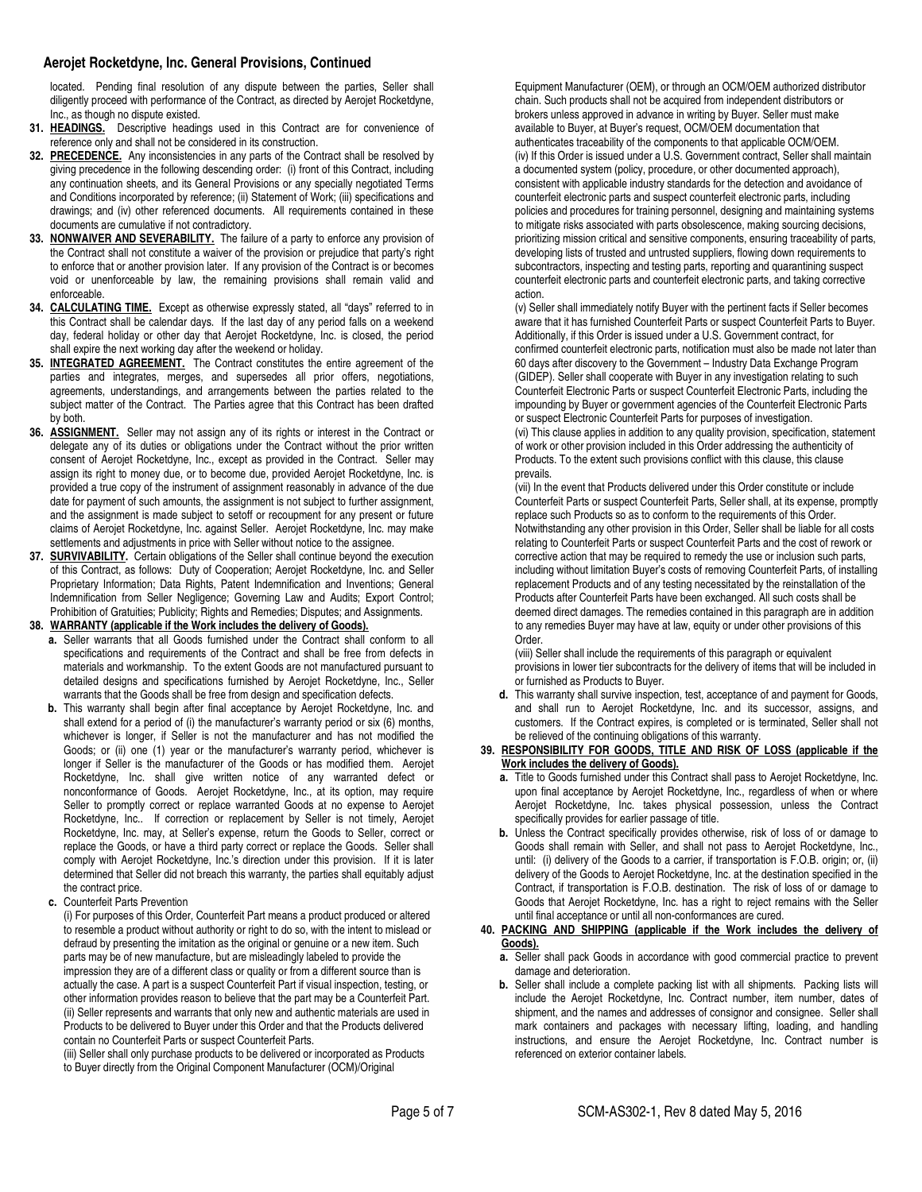located. Pending final resolution of any dispute between the parties, Seller shall diligently proceed with performance of the Contract, as directed by Aerojet Rocketdyne, Inc., as though no dispute existed.

- **31. HEADINGS.** Descriptive headings used in this Contract are for convenience of reference only and shall not be considered in its construction.
- **32. PRECEDENCE.** Any inconsistencies in any parts of the Contract shall be resolved by giving precedence in the following descending order: (i) front of this Contract, including any continuation sheets, and its General Provisions or any specially negotiated Terms and Conditions incorporated by reference; (ii) Statement of Work; (iii) specifications and drawings; and (iv) other referenced documents. All requirements contained in these documents are cumulative if not contradictory.
- **33. NONWAIVER AND SEVERABILITY.** The failure of a party to enforce any provision of the Contract shall not constitute a waiver of the provision or prejudice that party's right to enforce that or another provision later. If any provision of the Contract is or becomes void or unenforceable by law, the remaining provisions shall remain valid and enforceable.
- **34. CALCULATING TIME.** Except as otherwise expressly stated, all "days" referred to in this Contract shall be calendar days. If the last day of any period falls on a weekend day, federal holiday or other day that Aerojet Rocketdyne, Inc. is closed, the period shall expire the next working day after the weekend or holiday.
- **35. INTEGRATED AGREEMENT.** The Contract constitutes the entire agreement of the parties and integrates, merges, and supersedes all prior offers, negotiations, agreements, understandings, and arrangements between the parties related to the subject matter of the Contract. The Parties agree that this Contract has been drafted by both.
- **36. ASSIGNMENT.** Seller may not assign any of its rights or interest in the Contract or delegate any of its duties or obligations under the Contract without the prior written consent of Aerojet Rocketdyne, Inc., except as provided in the Contract. Seller may assign its right to money due, or to become due, provided Aerojet Rocketdyne, Inc. is provided a true copy of the instrument of assignment reasonably in advance of the due date for payment of such amounts, the assignment is not subject to further assignment, and the assignment is made subject to setoff or recoupment for any present or future claims of Aerojet Rocketdyne, Inc. against Seller. Aerojet Rocketdyne, Inc. may make settlements and adjustments in price with Seller without notice to the assignee.
- **37. SURVIVABILITY.** Certain obligations of the Seller shall continue beyond the execution of this Contract, as follows: Duty of Cooperation; Aerojet Rocketdyne, Inc. and Seller Proprietary Information; Data Rights, Patent Indemnification and Inventions; General Indemnification from Seller Negligence; Governing Law and Audits; Export Control; Prohibition of Gratuities; Publicity; Rights and Remedies; Disputes; and Assignments.

# **38. WARRANTY (applicable if the Work includes the delivery of Goods).**

- **a.** Seller warrants that all Goods furnished under the Contract shall conform to all specifications and requirements of the Contract and shall be free from defects in materials and workmanship. To the extent Goods are not manufactured pursuant to detailed designs and specifications furnished by Aerojet Rocketdyne, Inc., Seller warrants that the Goods shall be free from design and specification defects.
- **b.** This warranty shall begin after final acceptance by Aerojet Rocketdyne, Inc. and shall extend for a period of (i) the manufacturer's warranty period or six (6) months, whichever is longer, if Seller is not the manufacturer and has not modified the Goods; or (ii) one (1) year or the manufacturer's warranty period, whichever is longer if Seller is the manufacturer of the Goods or has modified them. Aerojet Rocketdyne, Inc. shall give written notice of any warranted defect or nonconformance of Goods. Aerojet Rocketdyne, Inc., at its option, may require Seller to promptly correct or replace warranted Goods at no expense to Aerojet Rocketdyne, Inc.. If correction or replacement by Seller is not timely, Aerojet Rocketdyne, Inc. may, at Seller's expense, return the Goods to Seller, correct or replace the Goods, or have a third party correct or replace the Goods. Seller shall comply with Aerojet Rocketdyne, Inc.'s direction under this provision. If it is later determined that Seller did not breach this warranty, the parties shall equitably adjust the contract price.
- **c.** Counterfeit Parts Prevention

(i) For purposes of this Order, Counterfeit Part means a product produced or altered to resemble a product without authority or right to do so, with the intent to mislead or defraud by presenting the imitation as the original or genuine or a new item. Such parts may be of new manufacture, but are misleadingly labeled to provide the impression they are of a different class or quality or from a different source than is actually the case. A part is a suspect Counterfeit Part if visual inspection, testing, or other information provides reason to believe that the part may be a Counterfeit Part. (ii) Seller represents and warrants that only new and authentic materials are used in Products to be delivered to Buyer under this Order and that the Products delivered contain no Counterfeit Parts or suspect Counterfeit Parts.

(iii) Seller shall only purchase products to be delivered or incorporated as Products to Buyer directly from the Original Component Manufacturer (OCM)/Original

Equipment Manufacturer (OEM), or through an OCM/OEM authorized distributor chain. Such products shall not be acquired from independent distributors or brokers unless approved in advance in writing by Buyer. Seller must make available to Buyer, at Buyer's request, OCM/OEM documentation that authenticates traceability of the components to that applicable OCM/OEM. (iv) If this Order is issued under a U.S. Government contract, Seller shall maintain a documented system (policy, procedure, or other documented approach), consistent with applicable industry standards for the detection and avoidance of counterfeit electronic parts and suspect counterfeit electronic parts, including policies and procedures for training personnel, designing and maintaining systems to mitigate risks associated with parts obsolescence, making sourcing decisions, prioritizing mission critical and sensitive components, ensuring traceability of parts, developing lists of trusted and untrusted suppliers, flowing down requirements to subcontractors, inspecting and testing parts, reporting and quarantining suspect counterfeit electronic parts and counterfeit electronic parts, and taking corrective action.

(v) Seller shall immediately notify Buyer with the pertinent facts if Seller becomes aware that it has furnished Counterfeit Parts or suspect Counterfeit Parts to Buyer. Additionally, if this Order is issued under a U.S. Government contract, for confirmed counterfeit electronic parts, notification must also be made not later than 60 days after discovery to the Government – Industry Data Exchange Program (GIDEP). Seller shall cooperate with Buyer in any investigation relating to such Counterfeit Electronic Parts or suspect Counterfeit Electronic Parts, including the impounding by Buyer or government agencies of the Counterfeit Electronic Parts or suspect Electronic Counterfeit Parts for purposes of investigation.

(vi) This clause applies in addition to any quality provision, specification, statement of work or other provision included in this Order addressing the authenticity of Products. To the extent such provisions conflict with this clause, this clause prevails.

(vii) In the event that Products delivered under this Order constitute or include Counterfeit Parts or suspect Counterfeit Parts, Seller shall, at its expense, promptly replace such Products so as to conform to the requirements of this Order. Notwithstanding any other provision in this Order, Seller shall be liable for all costs relating to Counterfeit Parts or suspect Counterfeit Parts and the cost of rework or corrective action that may be required to remedy the use or inclusion such parts, including without limitation Buyer's costs of removing Counterfeit Parts, of installing replacement Products and of any testing necessitated by the reinstallation of the Products after Counterfeit Parts have been exchanged. All such costs shall be deemed direct damages. The remedies contained in this paragraph are in addition to any remedies Buyer may have at law, equity or under other provisions of this Order.

(viii) Seller shall include the requirements of this paragraph or equivalent provisions in lower tier subcontracts for the delivery of items that will be included in or furnished as Products to Buyer.

**d.** This warranty shall survive inspection, test, acceptance of and payment for Goods, and shall run to Aerojet Rocketdyne, Inc. and its successor, assigns, and customers. If the Contract expires, is completed or is terminated, Seller shall not be relieved of the continuing obligations of this warranty.

#### **39. RESPONSIBILITY FOR GOODS, TITLE AND RISK OF LOSS (applicable if the Work includes the delivery of Goods).**

- **a.** Title to Goods furnished under this Contract shall pass to Aerojet Rocketdyne, Inc. upon final acceptance by Aerojet Rocketdyne, Inc., regardless of when or where Aerojet Rocketdyne, Inc. takes physical possession, unless the Contract specifically provides for earlier passage of title.
- **b.** Unless the Contract specifically provides otherwise, risk of loss of or damage to Goods shall remain with Seller, and shall not pass to Aerojet Rocketdyne, Inc., until: (i) delivery of the Goods to a carrier, if transportation is F.O.B. origin; or, (ii) delivery of the Goods to Aerojet Rocketdyne, Inc. at the destination specified in the Contract, if transportation is F.O.B. destination. The risk of loss of or damage to Goods that Aerojet Rocketdyne, Inc. has a right to reject remains with the Seller until final acceptance or until all non-conformances are cured.

#### **40. PACKING AND SHIPPING (applicable if the Work includes the delivery of Goods).**

- **a.** Seller shall pack Goods in accordance with good commercial practice to prevent damage and deterioration.
- **b.** Seller shall include a complete packing list with all shipments. Packing lists will include the Aerojet Rocketdyne, Inc. Contract number, item number, dates of shipment, and the names and addresses of consignor and consignee. Seller shall mark containers and packages with necessary lifting, loading, and handling instructions, and ensure the Aerojet Rocketdyne, Inc. Contract number is referenced on exterior container labels.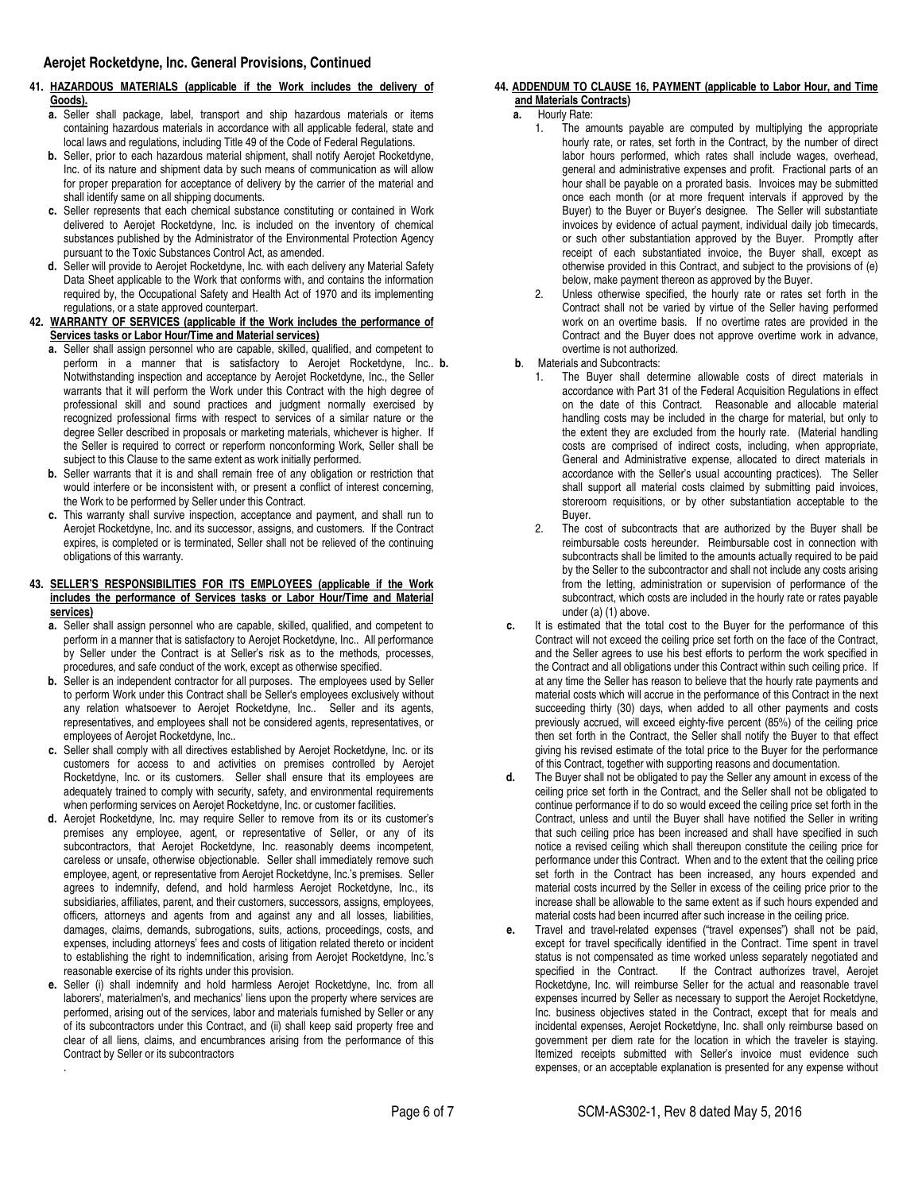# **41. HAZARDOUS MATERIALS (applicable if the Work includes the delivery of Goods).**

- **a.** Seller shall package, label, transport and ship hazardous materials or items containing hazardous materials in accordance with all applicable federal, state and local laws and regulations, including Title 49 of the Code of Federal Regulations.
- **b.** Seller, prior to each hazardous material shipment, shall notify Aerojet Rocketdyne, Inc. of its nature and shipment data by such means of communication as will allow for proper preparation for acceptance of delivery by the carrier of the material and shall identify same on all shipping documents.
- **c.** Seller represents that each chemical substance constituting or contained in Work delivered to Aerojet Rocketdyne, Inc. is included on the inventory of chemical substances published by the Administrator of the Environmental Protection Agency pursuant to the Toxic Substances Control Act, as amended.
- **d.** Seller will provide to Aerojet Rocketdyne, Inc. with each delivery any Material Safety Data Sheet applicable to the Work that conforms with, and contains the information required by, the Occupational Safety and Health Act of 1970 and its implementing regulations, or a state approved counterpart.
- **42. WARRANTY OF SERVICES (applicable if the Work includes the performance of Services tasks or Labor Hour/Time and Material services)** 
	- **a.** Seller shall assign personnel who are capable, skilled, qualified, and competent to perform in a manner that is satisfactory to Aerojet Rocketdyne, Inc. b. Notwithstanding inspection and acceptance by Aerojet Rocketdyne, Inc., the Seller warrants that it will perform the Work under this Contract with the high degree of professional skill and sound practices and judgment normally exercised by recognized professional firms with respect to services of a similar nature or the degree Seller described in proposals or marketing materials, whichever is higher. If the Seller is required to correct or reperform nonconforming Work, Seller shall be subject to this Clause to the same extent as work initially performed.
	- **b.** Seller warrants that it is and shall remain free of any obligation or restriction that would interfere or be inconsistent with, or present a conflict of interest concerning, the Work to be performed by Seller under this Contract.
	- **c.** This warranty shall survive inspection, acceptance and payment, and shall run to Aerojet Rocketdyne, Inc. and its successor, assigns, and customers. If the Contract expires, is completed or is terminated, Seller shall not be relieved of the continuing obligations of this warranty.

## **43. SELLER'S RESPONSIBILITIES FOR ITS EMPLOYEES (applicable if the Work includes the performance of Services tasks or Labor Hour/Time and Material services)**

- **a.** Seller shall assign personnel who are capable, skilled, qualified, and competent to perform in a manner that is satisfactory to Aerojet Rocketdyne, Inc.. All performance by Seller under the Contract is at Seller's risk as to the methods, processes, procedures, and safe conduct of the work, except as otherwise specified.
- **b.** Seller is an independent contractor for all purposes. The employees used by Seller to perform Work under this Contract shall be Seller's employees exclusively without any relation whatsoever to Aerojet Rocketdyne, Inc.. Seller and its agents, representatives, and employees shall not be considered agents, representatives, or employees of Aerojet Rocketdyne, Inc..
- **c.** Seller shall comply with all directives established by Aerojet Rocketdyne, Inc. or its customers for access to and activities on premises controlled by Aerojet Rocketdyne, Inc. or its customers. Seller shall ensure that its employees are adequately trained to comply with security, safety, and environmental requirements when performing services on Aerojet Rocketdyne, Inc. or customer facilities.
- **d.** Aerojet Rocketdyne, Inc. may require Seller to remove from its or its customer's premises any employee, agent, or representative of Seller, or any of its subcontractors, that Aerojet Rocketdyne, Inc. reasonably deems incompetent, careless or unsafe, otherwise objectionable. Seller shall immediately remove such employee, agent, or representative from Aerojet Rocketdyne, Inc.'s premises. Seller agrees to indemnify, defend, and hold harmless Aerojet Rocketdyne, Inc., its subsidiaries, affiliates, parent, and their customers, successors, assigns, employees, officers, attorneys and agents from and against any and all losses, liabilities, damages, claims, demands, subrogations, suits, actions, proceedings, costs, and expenses, including attorneys' fees and costs of litigation related thereto or incident to establishing the right to indemnification, arising from Aerojet Rocketdyne, Inc.'s reasonable exercise of its rights under this provision.
- **e.** Seller (i) shall indemnify and hold harmless Aerojet Rocketdyne, Inc. from all laborers', materialmen's, and mechanics' liens upon the property where services are performed, arising out of the services, labor and materials furnished by Seller or any of its subcontractors under this Contract, and (ii) shall keep said property free and clear of all liens, claims, and encumbrances arising from the performance of this Contract by Seller or its subcontractors .

# **44. ADDENDUM TO CLAUSE 16, PAYMENT (applicable to Labor Hour, and Time and Materials Contracts)**

- **a.** Hourly Rate:
	- 1. The amounts payable are computed by multiplying the appropriate hourly rate, or rates, set forth in the Contract, by the number of direct labor hours performed, which rates shall include wages, overhead, general and administrative expenses and profit. Fractional parts of an hour shall be payable on a prorated basis. Invoices may be submitted once each month (or at more frequent intervals if approved by the Buyer) to the Buyer or Buyer's designee. The Seller will substantiate invoices by evidence of actual payment, individual daily job timecards, or such other substantiation approved by the Buyer. Promptly after receipt of each substantiated invoice, the Buyer shall, except as otherwise provided in this Contract, and subject to the provisions of (e) below, make payment thereon as approved by the Buyer.
	- 2. Unless otherwise specified, the hourly rate or rates set forth in the Contract shall not be varied by virtue of the Seller having performed work on an overtime basis. If no overtime rates are provided in the Contract and the Buyer does not approve overtime work in advance, overtime is not authorized.
- **b. b**. Materials and Subcontracts:
	- 1. The Buyer shall determine allowable costs of direct materials in accordance with Part 31 of the Federal Acquisition Regulations in effect on the date of this Contract. Reasonable and allocable material handling costs may be included in the charge for material, but only to the extent they are excluded from the hourly rate. (Material handling costs are comprised of indirect costs, including, when appropriate, General and Administrative expense, allocated to direct materials in accordance with the Seller's usual accounting practices). The Seller shall support all material costs claimed by submitting paid invoices, storeroom requisitions, or by other substantiation acceptable to the Buyer.
	- 2. The cost of subcontracts that are authorized by the Buyer shall be reimbursable costs hereunder. Reimbursable cost in connection with subcontracts shall be limited to the amounts actually required to be paid by the Seller to the subcontractor and shall not include any costs arising from the letting, administration or supervision of performance of the subcontract, which costs are included in the hourly rate or rates payable under (a) (1) above.
- **c.** It is estimated that the total cost to the Buyer for the performance of this Contract will not exceed the ceiling price set forth on the face of the Contract, and the Seller agrees to use his best efforts to perform the work specified in the Contract and all obligations under this Contract within such ceiling price. If at any time the Seller has reason to believe that the hourly rate payments and material costs which will accrue in the performance of this Contract in the next succeeding thirty (30) days, when added to all other payments and costs previously accrued, will exceed eighty-five percent (85%) of the ceiling price then set forth in the Contract, the Seller shall notify the Buyer to that effect giving his revised estimate of the total price to the Buyer for the performance of this Contract, together with supporting reasons and documentation.
- **d.** The Buyer shall not be obligated to pay the Seller any amount in excess of the ceiling price set forth in the Contract, and the Seller shall not be obligated to continue performance if to do so would exceed the ceiling price set forth in the Contract, unless and until the Buyer shall have notified the Seller in writing that such ceiling price has been increased and shall have specified in such notice a revised ceiling which shall thereupon constitute the ceiling price for performance under this Contract. When and to the extent that the ceiling price set forth in the Contract has been increased, any hours expended and material costs incurred by the Seller in excess of the ceiling price prior to the increase shall be allowable to the same extent as if such hours expended and material costs had been incurred after such increase in the ceiling price.
- **e.** Travel and travel-related expenses ("travel expenses") shall not be paid, except for travel specifically identified in the Contract. Time spent in travel status is not compensated as time worked unless separately negotiated and specified in the Contract. If the Contract authorizes travel, Aerojet Rocketdyne, Inc. will reimburse Seller for the actual and reasonable travel expenses incurred by Seller as necessary to support the Aerojet Rocketdyne, Inc. business objectives stated in the Contract, except that for meals and incidental expenses, Aerojet Rocketdyne, Inc. shall only reimburse based on government per diem rate for the location in which the traveler is staying. Itemized receipts submitted with Seller's invoice must evidence such expenses, or an acceptable explanation is presented for any expense without